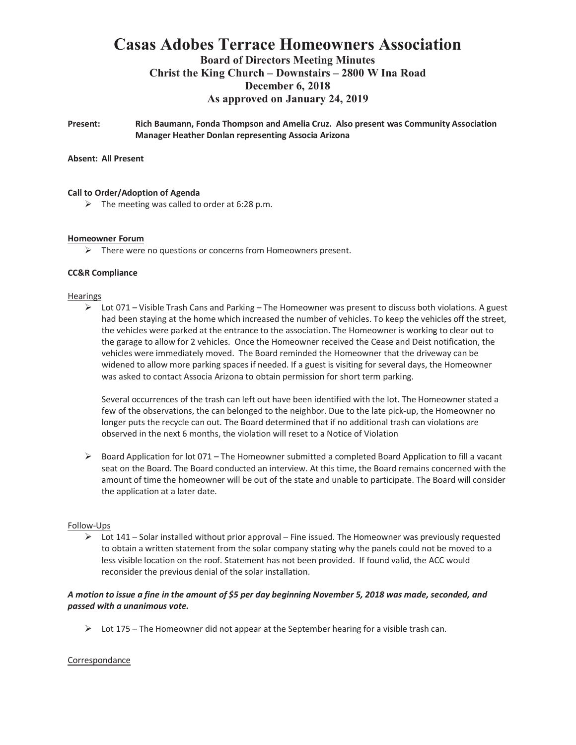# **Casas Adobes Terrace Homeowners Association**

### **Board of Directors Meeting Minutes Christ the King Church – Downstairs – 2800 W Ina Road December 6, 2018 As approved on January 24, 2019**

**Present: Rich Baumann, Fonda Thompson and Amelia Cruz. Also present was Community Association Manager Heather Donlan representing Associa Arizona**

#### **Absent: All Present**

#### **Call to Order/Adoption of Agenda**

 $\triangleright$  The meeting was called to order at 6:28 p.m.

#### **Homeowner Forum**

 $\triangleright$  There were no questions or concerns from Homeowners present.

#### **CC&R Compliance**

#### **Hearings**

 $\triangleright$  Lot 071 – Visible Trash Cans and Parking – The Homeowner was present to discuss both violations. A guest had been staying at the home which increased the number of vehicles. To keep the vehicles off the street, the vehicles were parked at the entrance to the association. The Homeowner is working to clear out to the garage to allow for 2 vehicles. Once the Homeowner received the Cease and Deist notification, the vehicles were immediately moved. The Board reminded the Homeowner that the driveway can be widened to allow more parking spaces if needed. If a guest is visiting for several days, the Homeowner was asked to contact Associa Arizona to obtain permission for short term parking.

Several occurrences of the trash can left out have been identified with the lot. The Homeowner stated a few of the observations, the can belonged to the neighbor. Due to the late pick-up, the Homeowner no longer puts the recycle can out. The Board determined that if no additional trash can violations are observed in the next 6 months, the violation will reset to a Notice of Violation

 $\triangleright$  Board Application for lot 071 – The Homeowner submitted a completed Board Application to fill a vacant seat on the Board. The Board conducted an interview. At this time, the Board remains concerned with the amount of time the homeowner will be out of the state and unable to participate. The Board will consider the application at a later date.

#### Follow-Ups

 $\triangleright$  Lot 141 – Solar installed without prior approval – Fine issued. The Homeowner was previously requested to obtain a written statement from the solar company stating why the panels could not be moved to a less visible location on the roof. Statement has not been provided. If found valid, the ACC would reconsider the previous denial of the solar installation.

#### *A motion to issue a fine in the amount of \$5 per day beginning November 5, 2018 was made, seconded, and passed with a unanimous vote.*

 $\triangleright$  Lot 175 – The Homeowner did not appear at the September hearing for a visible trash can.

#### Correspondance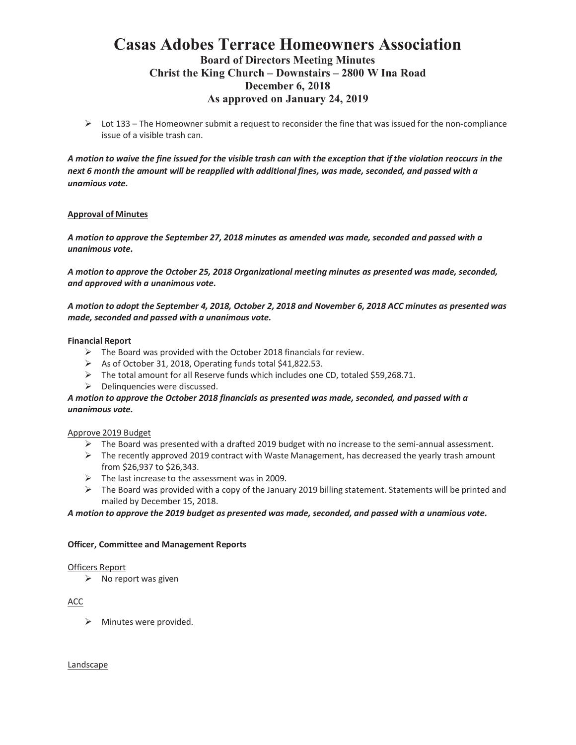## **Casas Adobes Terrace Homeowners Association Board of Directors Meeting Minutes Christ the King Church – Downstairs – 2800 W Ina Road December 6, 2018 As approved on January 24, 2019**

 $\triangleright$  Lot 133 – The Homeowner submit a request to reconsider the fine that was issued for the non-compliance issue of a visible trash can.

*A motion to waive the fine issued for the visible trash can with the exception that if the violation reoccurs in the next 6 month the amount will be reapplied with additional fines, was made, seconded, and passed with a unamious vote.*

#### **Approval of Minutes**

*A motion to approve the September 27, 2018 minutes as amended was made, seconded and passed with a unanimous vote.*

*A motion to approve the October 25, 2018 Organizational meeting minutes as presented was made, seconded, and approved with a unanimous vote.*

*A motion to adopt the September 4, 2018, October 2, 2018 and November 6, 2018 ACC minutes as presented was made, seconded and passed with a unanimous vote.*

#### **Financial Report**

- $\triangleright$  The Board was provided with the October 2018 financials for review.
- $\triangleright$  As of October 31, 2018, Operating funds total \$41,822.53.
- $\triangleright$  The total amount for all Reserve funds which includes one CD, totaled \$59,268.71.
- $\triangleright$  Delinquencies were discussed.

#### *A motion to approve the October 2018 financials as presented was made, seconded, and passed with a unanimous vote.*

#### Approve 2019 Budget

- $\triangleright$  The Board was presented with a drafted 2019 budget with no increase to the semi-annual assessment.
- $\triangleright$  The recently approved 2019 contract with Waste Management, has decreased the yearly trash amount from \$26,937 to \$26,343.
- $\triangleright$  The last increase to the assessment was in 2009.
- $\triangleright$  The Board was provided with a copy of the January 2019 billing statement. Statements will be printed and mailed by December 15, 2018.

#### *A motion to approve the 2019 budget as presented was made, seconded, and passed with a unamious vote.*

#### **Officer, Committee and Management Reports**

#### Officers Report

 $\triangleright$  No report was given

#### ACC

 $\triangleright$  Minutes were provided.

#### Landscape